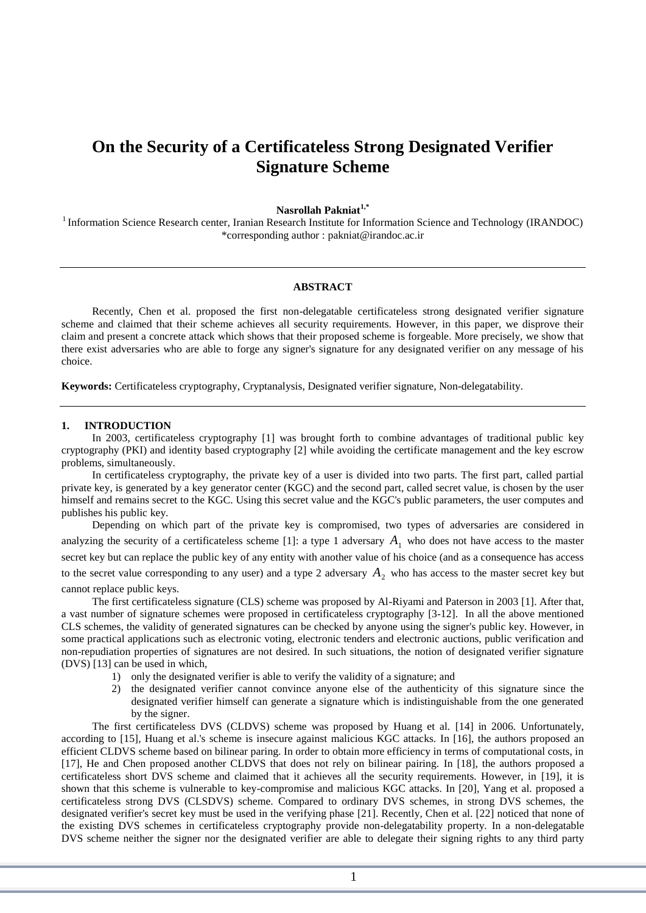# **On the Security of a Certificateless Strong Designated Verifier Signature Scheme**

## **Nasrollah Pakniat1,\***

<sup>1</sup> Information Science Research center, Iranian Research Institute for Information Science and Technology (IRANDOC) \*corresponding author : pakniat@irandoc.ac.ir

#### **ABSTRACT**

Recently, Chen et al. proposed the first non-delegatable certificateless strong designated verifier signature scheme and claimed that their scheme achieves all security requirements. However, in this paper, we disprove their claim and present a concrete attack which shows that their proposed scheme is forgeable. More precisely, we show that there exist adversaries who are able to forge any signer's signature for any designated verifier on any message of his choice.

**Keywords:** Certificateless cryptography, Cryptanalysis, Designated verifier signature, Non-delegatability.

### **1. INTRODUCTION**

In 2003, certificateless cryptography [1] was brought forth to combine advantages of traditional public key cryptography (PKI) and identity based cryptography [2] while avoiding the certificate management and the key escrow problems, simultaneously.

In certificateless cryptography, the private key of a user is divided into two parts. The first part, called partial private key, is generated by a key generator center (KGC) and the second part, called secret value, is chosen by the user himself and remains secret to the KGC. Using this secret value and the KGC's public parameters, the user computes and publishes his public key.

Depending on which part of the private key is compromised, two types of adversaries are considered in analyzing the security of a certificateless scheme [1]: a type 1 adversary  $A_1$  who does not have access to the master secret key but can replace the public key of any entity with another value of his choice (and as a consequence has access to the secret value corresponding to any user) and a type 2 adversary  $A_2$  who has access to the master secret key but cannot replace public keys.

The first certificateless signature (CLS) scheme was proposed by Al-Riyami and Paterson in 2003 [1]. After that, a vast number of signature schemes were proposed in certificateless cryptography [3-12]. In all the above mentioned CLS schemes, the validity of generated signatures can be checked by anyone using the signer's public key. However, in some practical applications such as electronic voting, electronic tenders and electronic auctions, public verification and non-repudiation properties of signatures are not desired. In such situations, the notion of designated verifier signature (DVS) [13] can be used in which,

- 1) only the designated verifier is able to verify the validity of a signature; and
- 2) the designated verifier cannot convince anyone else of the authenticity of this signature since the designated verifier himself can generate a signature which is indistinguishable from the one generated by the signer.

The first certificateless DVS (CLDVS) scheme was proposed by Huang et al. [14] in 2006. Unfortunately, according to [15], Huang et al.'s scheme is insecure against malicious KGC attacks. In [16], the authors proposed an efficient CLDVS scheme based on bilinear paring. In order to obtain more efficiency in terms of computational costs, in [17], He and Chen proposed another CLDVS that does not rely on bilinear pairing. In [18], the authors proposed a certificateless short DVS scheme and claimed that it achieves all the security requirements. However, in [19], it is shown that this scheme is vulnerable to key-compromise and malicious KGC attacks. In [20], Yang et al. proposed a certificateless strong DVS (CLSDVS) scheme. Compared to ordinary DVS schemes, in strong DVS schemes, the designated verifier's secret key must be used in the verifying phase [21]. Recently, Chen et al. [22] noticed that none of the existing DVS schemes in certificateless cryptography provide non-delegatability property. In a non-delegatable DVS scheme neither the signer nor the designated verifier are able to delegate their signing rights to any third party

1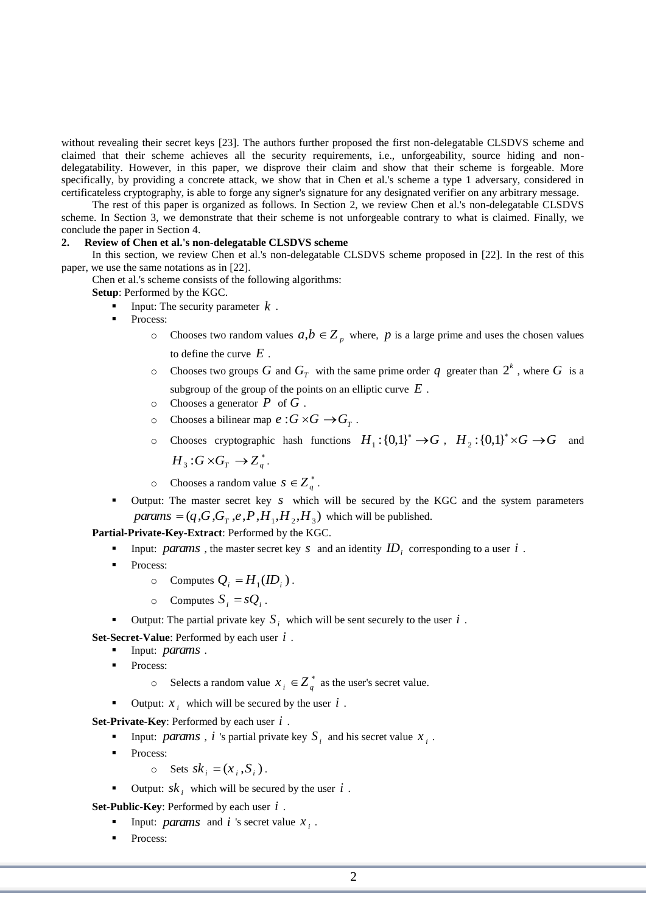without revealing their secret keys [23]. The authors further proposed the first non-delegatable CLSDVS scheme and claimed that their scheme achieves all the security requirements, i.e., unforgeability, source hiding and nondelegatability. However, in this paper, we disprove their claim and show that their scheme is forgeable. More specifically, by providing a concrete attack, we show that in Chen et al.'s scheme a type 1 adversary, considered in certificateless cryptography, is able to forge any signer's signature for any designated verifier on any arbitrary message.

The rest of this paper is organized as follows. In Section 2, we review Chen et al.'s non-delegatable CLSDVS scheme. In Section 3, we demonstrate that their scheme is not unforgeable contrary to what is claimed. Finally, we conclude the paper in Section 4.

#### **2. Review of Chen et al.'s non-delegatable CLSDVS scheme**

In this section, we review Chen et al.'s non-delegatable CLSDVS scheme proposed in [22]. In the rest of this paper, we use the same notations as in [22].

Chen et al.'s scheme consists of the following algorithms:

**Setup**: Performed by the KGC.

- Input: The security parameter  $k$ .
- Process:
	- o Chooses two random values  $a,b \in Z_p$  where, p is a large prime and uses the chosen values to define the curve *E* .
	- o Chooses two groups G and  $G_T$  with the same prime order q greater than  $2^k$ , where G is a subgroup of the group of the points on an elliptic curve *E* .
	- o Chooses a generator *P* of *G* .
	- $\circ$  Chooses a bilinear map  $e : G \times G \to G_T$ .
	- o Chooses cryptographic hash functions  $H_1$ :  $\{0,1\}^* \to G$ ,  $H_2$ :  $\{0,1\}^* \times G \to G$  and  $H_{3}: G \times G_{T} \rightarrow Z_{q}^{*}$ .
	- o Chooses a random value  $s \in \mathbb{Z}_q^*$ .
- Output: The master secret key *s* which will be secured by the KGC and the system parameters  $params = (q, G, G<sub>T</sub>, e, P, H<sub>1</sub>, H<sub>2</sub>, H<sub>3</sub>)$  which will be published.

**Partial-Private-Key-Extract**: Performed by the KGC.

- Input: *params*, the master secret key *s* and an identity  $ID_i$  corresponding to a user *i*.
- Process:
	- $\circ$  Computes  $Q_i = H_1$ (*ID*<sub>*i*</sub>).
	- $\circ$  Computes  $S_i = sQ_i$ .
- Output: The partial private key  $S_i$  which will be sent securely to the user  $i$ .

**Set-Secret-Value**: Performed by each user *i* .

- Input: *params* .
- Process:
	- $\circ$  Selects a random value  $x_i \in \mathbb{Z}_q^*$  as the user's secret value.
- Output:  $x_i$  which will be secured by the user  $i$ .

**Set-Private-Key**: Performed by each user *i* .

- **Input:** *params*, *i* 's partial private key  $S_i$  and his secret value  $x_i$ .
- Process:

$$
\circ \quad \text{Sets } sk_i = (x_i, S_i).
$$

■ Output:  $sk_i$  which will be secured by the user  $i$ .

**Set-Public-Key**: Performed by each user *i* .

- **Input:** *params* and *i* 's secret value  $x_i$ .
- Process: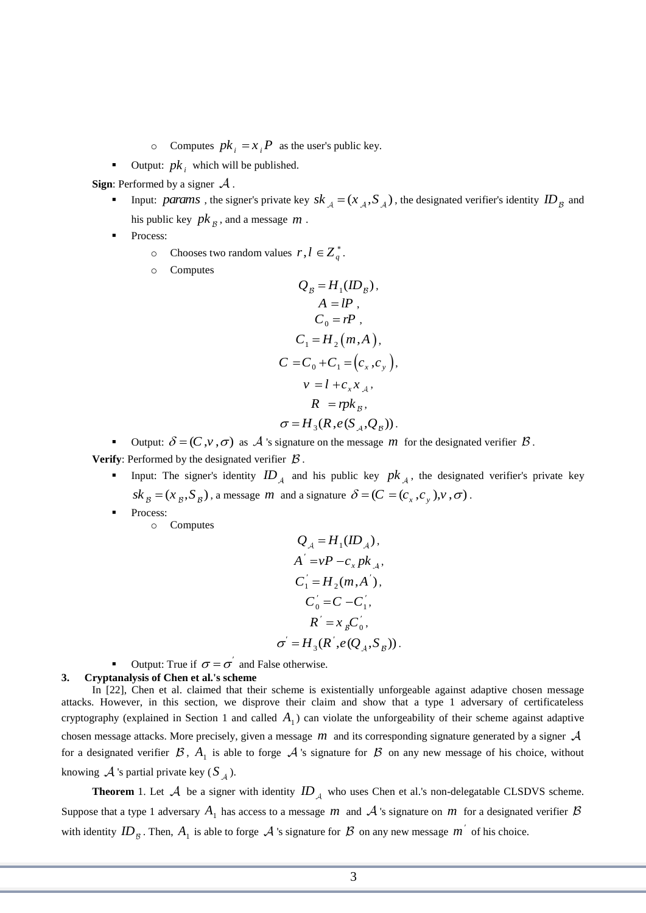- $\circ$  Computes  $pk_i = x_i P$  as the user's public key.
- **•** Output:  $pk_i$  which will be published.

**Sign:** Performed by a signer  $\mathcal A$ .

- Input: *params*, the signer's private key  $sk_A = (x_A, S_A)$ , the designated verifier's identity  $ID_B$  and his public key *pk* , and a message *m* .
- Process:
	- o Chooses two random values  $r, l \in Z_q^*$ .
	- o Computes

$$
Q_B = H_1(ID_B),
$$
  
\n
$$
A = lP,
$$
  
\n
$$
C_0 = rP,
$$
  
\n
$$
C_1 = H_2(m, A),
$$
  
\n
$$
C = C_0 + C_1 = (c_x, c_y),
$$
  
\n
$$
v = l + c_x x_A,
$$
  
\n
$$
R = rpk_B,
$$
  
\n
$$
\sigma = H_3(R, e(S_A, Q_B)).
$$

Output:  $\delta = (C, v, \sigma)$  as A 's signature on the message m for the designated verifier  $\beta$ .

**Verify:** Performed by the designated verifier  $\beta$ .

- Input: The signer's identity  $ID_A$  and his public key  $pk_A$ , the designated verifier's private key  $sk_{\beta} = (x_{\beta}, S_{\beta})$ , a message *m* and a signature  $\delta = (C = (c_x, c_y), v, \sigma)$ .
- Process:

o Computes

$$
Q_{A} = H_{1}(ID_{A}),
$$
  
\n
$$
A^{'} = vP - c_{x}pk_{A},
$$
  
\n
$$
C_{1}^{'} = H_{2}(m, A^{'}),
$$
  
\n
$$
C_{0}^{'} = C - C_{1}^{'}},
$$
  
\n
$$
R^{'} = x_{B}C_{0}^{'}},
$$
  
\n
$$
\sigma^{'} = H_{3}(R^{'}, e(Q_{A}, S_{B})).
$$

■ Output: True if  $\sigma = \sigma^{'}$  and False otherwise.

### **3. Cryptanalysis of Chen et al.'s scheme**

In [22], Chen et al. claimed that their scheme is existentially unforgeable against adaptive chosen message attacks. However, in this section, we disprove their claim and show that a type 1 adversary of certificateless cryptography (explained in Section 1 and called  $A_1$ ) can violate the unforgeability of their scheme against adaptive chosen message attacks. More precisely, given a message *m* and its corresponding signature generated by a signer for a designated verifier  $\beta$ ,  $A_1$  is able to forge  $A$  's signature for  $\beta$  on any new message of his choice, without knowing  $\mathcal A$  's partial private key ( $S_A$ ).

**Theorem** 1. Let  $A$  be a signer with identity  $ID_A$  who uses Chen et al.'s non-delegatable CLSDVS scheme. Suppose that a type 1 adversary  $A_1$  has access to a message m and  $A$  's signature on m for a designated verifier with identity  $ID_{\mathcal{B}}$ . Then,  $A_1$  is able to forge  $\mathcal{A}$  's signature for  $\mathcal{B}$  on any new message  $m'$  of his choice.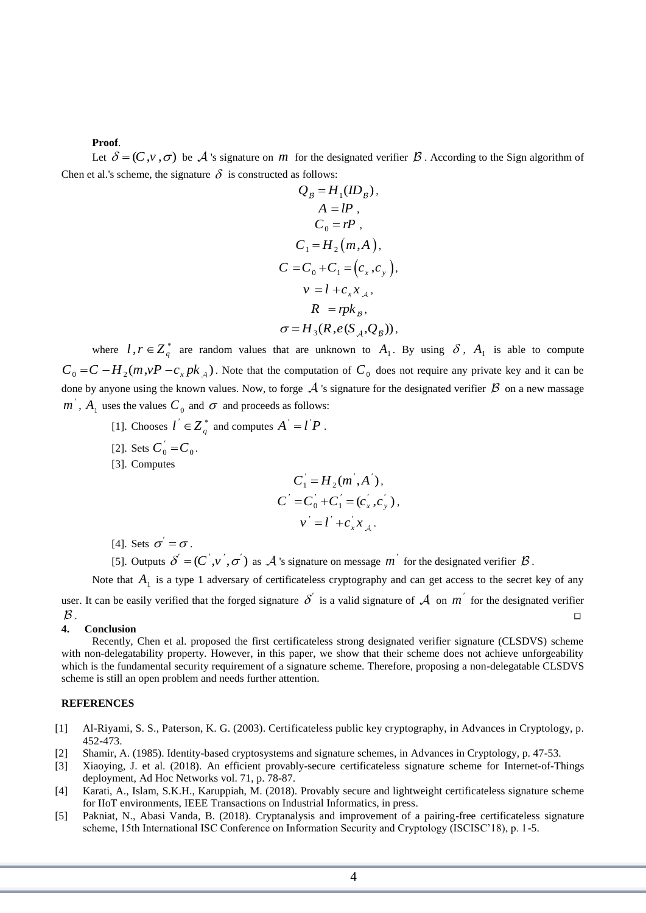#### **Proof**.

Let  $\delta = (C, v, \sigma)$  be A 's signature on *m* for the designated verifier  $\beta$ . According to the Sign algorithm of Chen et al.'s scheme, the signature  $\delta$  is constructed as follows:

$$
Q_B = H_1(ID_B),
$$
  
\n
$$
A = IP,
$$
  
\n
$$
C_0 = rP,
$$
  
\n
$$
C_1 = H_2(m, A),
$$
  
\n
$$
C = C_0 + C_1 = (c_x, c_y),
$$
  
\n
$$
v = l + c_x x_A,
$$
  
\n
$$
R = r p k_B,
$$
  
\n
$$
\sigma = H_3(R, e(S_A, Q_B)),
$$

where  $l, r \in Z_q^*$  are random values that are unknown to  $A_1$ . By using  $\delta$ ,  $A_1$  is able to compute  $C_0 = C - H_2(m, vP - c_x p k_A)$ . Note that the computation of  $C_0$  does not require any private key and it can be done by anyone using the known values. Now, to forge  $\mathcal A$  's signature for the designated verifier  $\mathcal B$  on a new massage  $m^{'}$ ,  $A_1$  uses the values  $C_0$  and  $\sigma$  and proceeds as follows:

- [1]. Chooses  $l' \in Z_q^*$  and computes  $A' = l'P$ .
- [2]. Sets  $C_0' = C_0$ .
- [3]. Computes

$$
C'_{1} = H_{2}(m', A'),
$$
  
\n
$$
C' = C'_{0} + C'_{1} = (c'_{x}, c'_{y}),
$$
  
\n
$$
v' = l' + c'_{x}x_{A}.
$$

- [4]. Sets  $\sigma' = \sigma$ .
- [5]. Outputs  $\delta' = (C', v', \sigma')$  as  $\mathcal A$  's signature on message m<sup>'</sup> for the designated verifier  $\beta$ .

Note that  $A_1$  is a type 1 adversary of certificateless cryptography and can get access to the secret key of any user. It can be easily verified that the forged signature  $\delta'$  is a valid signature of  $\cal A$  on  $m'$  for the designated verifier . A construction of the construction of the construction of the construction of the construction of the construction  $\Box$ 

#### **4. Conclusion**

Recently, Chen et al. proposed the first certificateless strong designated verifier signature (CLSDVS) scheme with non-delegatability property. However, in this paper, we show that their scheme does not achieve unforgeability which is the fundamental security requirement of a signature scheme. Therefore, proposing a non-delegatable CLSDVS scheme is still an open problem and needs further attention.

#### **REFERENCES**

- [1] Al-Riyami, S. S., Paterson, K. G. (2003). Certificateless public key cryptography, in Advances in Cryptology, p. 452-473.
- [2] Shamir, A. (1985). Identity-based cryptosystems and signature schemes, in Advances in Cryptology, p. 47-53.
- [3] Xiaoying, J. et al. (2018). An efficient provably-secure certificateless signature scheme for Internet-of-Things deployment, Ad Hoc Networks vol. 71, p. 78-87.
- [4] Karati, A., Islam, S.K.H., Karuppiah, M. (2018). Provably secure and lightweight certificateless signature scheme for IIoT environments, IEEE Transactions on Industrial Informatics, in press.
- [5] Pakniat, N., Abasi Vanda, B. (2018). Cryptanalysis and improvement of a pairing-free certificateless signature scheme, 15th International ISC Conference on Information Security and Cryptology (ISCISC'18), p. 1-5.